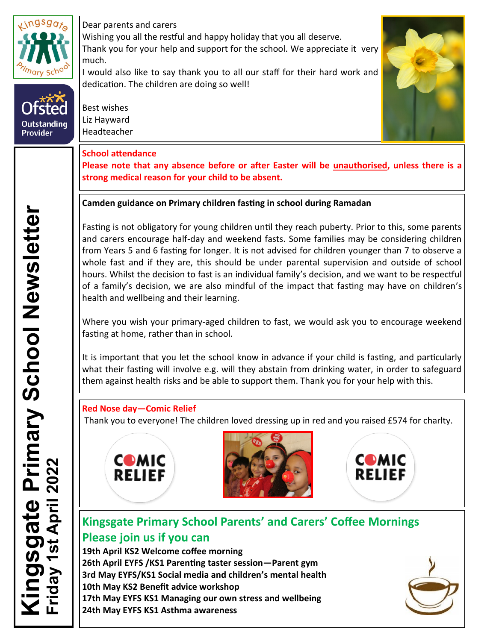

Outstanding<br>Provider

Dear parents and carers

Wishing you all the restful and happy holiday that you all deserve. Thank you for your help and support for the school. We appreciate it very much.

I would also like to say thank you to all our staff for their hard work and dedication. The children are doing so well!

Best wishes Liz Hayward Headteacher



# **School attendance**

**Please note that any absence before or after Easter will be unauthorised, unless there is a strong medical reason for your child to be absent.**

# **Camden guidance on Primary children fasting in school during Ramadan**

Fasting is not obligatory for young children until they reach puberty. Prior to this, some parents and carers encourage half-day and weekend fasts. Some families may be considering children from Years 5 and 6 fasting for longer. It is not advised for children younger than 7 to observe a whole fast and if they are, this should be under parental supervision and outside of school hours. Whilst the decision to fast is an individual family's decision, and we want to be respectful of a family's decision, we are also mindful of the impact that fasting may have on children's health and wellbeing and their learning.

Where you wish your primary-aged children to fast, we would ask you to encourage weekend fasting at home, rather than in school.

It is important that you let the school know in advance if your child is fasting, and particularly what their fasting will involve e.g. will they abstain from drinking water, in order to safeguard them against health risks and be able to support them. Thank you for your help with this.

# **Red Nose day—Comic Relief**

Thank you to everyone! The children loved dressing up in red and you raised £574 for charlty.







# **Kingsgate Primary School Parents' and Carers' Coffee Mornings Please join us if you can**

**19th April KS2 Welcome coffee morning 26th April EYFS /KS1 Parenting taster session—Parent gym 3rd May EYFS/KS1 Social media and children's mental health 10th May KS2 Benefit advice workshop 17th May EYFS KS1 Managing our own stress and wellbeing 24th May EYFS KS1 Asthma awareness**